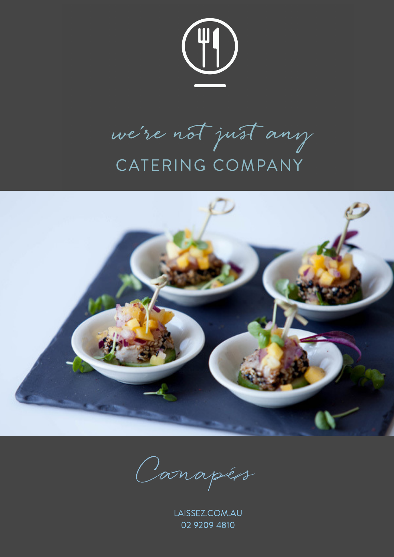

we're not just any CATERING COMPANY



Canapés

LAISSEZ.COM.AU 02 9209 4810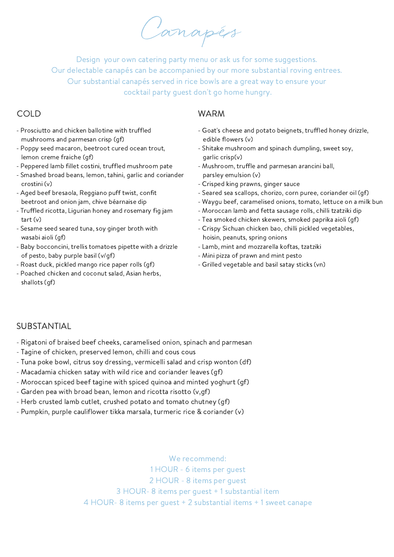Canapés

Design your own catering party menu or ask us for some suggestions. Our delectable canapés can be accompanied by our more substantial roving entrees. Our substantial canapés served in rice bowls are a great way to ensure your cocktail party guest don't go home hungry.

- Prosciutto and chicken ballotine with truffled mushrooms and parmesan crisp (gf)
- Poppy seed macaron, beetroot cured ocean trout, lemon creme fraiche (gf)
- Peppered lamb fillet costini, truffled mushroom pate
- Smashed broad beans, lemon, tahini, garlic and coriander crostini (v)
- Aged beef bresaola, Reggiano puff twist, confit beetroot and onion jam, chive béarnaise dip
- Truffled ricotta, Ligurian honey and rosemary fig jam tart (v)
- Sesame seed seared tuna, soy ginger broth with wasabi aioli (gf)
- Baby bocconcini, trellis tomatoes pipette with a drizzle of pesto, baby purple basil (v/gf)
- Roast duck, pickled mango rice paper rolls (gf)
- Poached chicken and coconut salad, Asian herbs, shallots (gf)

### COLD WARM

- Goat's cheese and potato beignets, truffled honey drizzle, edible flowers (v)
- Shitake mushroom and spinach dumpling, sweet soy, garlic crisp(v)
- Mushroom, truffle and parmesan arancini ball, parsley emulsion (v)
- Crisped king prawns, ginger sauce
- Seared sea scallops, chorizo, corn puree, coriander oil (gf)
- Waygu beef, caramelised onions, tomato, lettuce on a milk bun
- Moroccan lamb and fetta sausage rolls, chilli tzatziki dip
- Tea smoked chicken skewers, smoked paprika aioli (gf)
- Crispy Sichuan chicken bao, chilli pickled vegetables, hoisin, peanuts, spring onions
- Lamb, mint and mozzarella koftas, tzatziki
- Mini pizza of prawn and mint pesto
- Grilled vegetable and basil satay sticks (vn)

### **SUBSTANTIAL**

- Rigatoni of braised beef cheeks, caramelised onion, spinach and parmesan
- Tagine of chicken, preserved lemon, chilli and cous cous
- Tuna poke bowl, citrus soy dressing, vermicelli salad and crisp wonton (df)
- Macadamia chicken satay with wild rice and coriander leaves (gf)
- Moroccan spiced beef tagine with spiced quinoa and minted yoghurt (gf)
- Garden pea with broad bean, lemon and ricotta risotto (v,gf)
- Herb crusted lamb cutlet, crushed potato and tomato chutney (gf)
- Pumpkin, purple cauliflower tikka marsala, turmeric rice & coriander (v)

#### We recommend:

 HOUR - 6 items per guest HOUR - 8 items per guest HOUR- 8 items per guest + 1 substantial item HOUR- 8 items per guest + 2 substantial items + 1 sweet canape